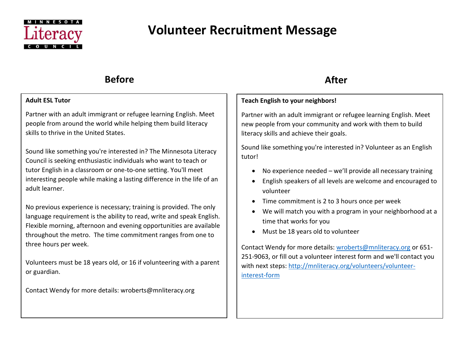

# **Volunteer Recruitment Message**

## **Before** After

### **Adult ESL Tutor**

Partner with an adult immigrant or refugee learning English. Meet people from around the world while helping them build literacy skills to thrive in the United States.

Sound like something you're interested in? The Minnesota Literacy Council is seeking enthusiastic individuals who want to teach or tutor English in a classroom or one-to-one setting. You'll meet interesting people while making a lasting difference in the life of an adult learner.

No previous experience is necessary; training is provided. The only language requirement is the ability to read, write and speak English. Flexible morning, afternoon and evening opportunities are available throughout the metro. The time commitment ranges from one to three hours per week.

Volunteers must be 18 years old, or 16 if volunteering with a parent or guardian.

Contact Wendy for more details: wroberts@mnliteracy.org

## **Teach English to your neighbors!**

Partner with an adult immigrant or refugee learning English. Meet new people from your community and work with them to build literacy skills and achieve their goals.

Sound like something you're interested in? Volunteer as an English tutor!

- No experience needed  $-$  we'll provide all necessary training
- English speakers of all levels are welcome and encouraged to volunteer
- Time commitment is 2 to 3 hours once per week
- We will match you with a program in your neighborhood at a time that works for you
- Must be 18 years old to volunteer

Contact Wendy for more details: [wroberts@mnliteracy.org](mailto:wroberts@mnliteracy.org) or 651- 251-9063, or fill out a volunteer interest form and we'll contact you with next steps: [http://mnliteracy.org/volunteers/volunteer](http://mnliteracy.org/volunteers/volunteer-interest-form)[interest-form](http://mnliteracy.org/volunteers/volunteer-interest-form)